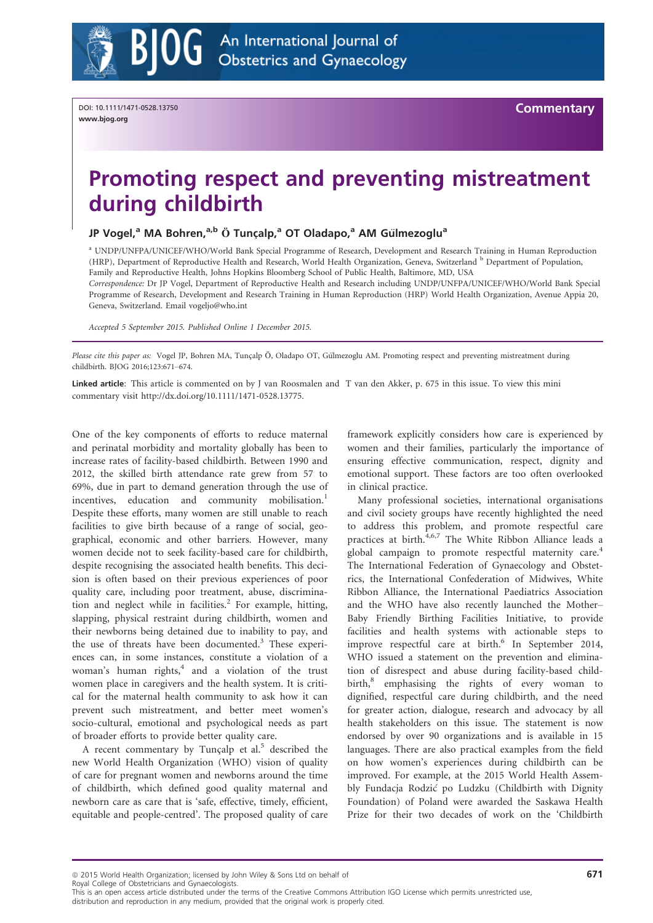

# Promoting respect and preventing mistreatment during childbirth

# JP Vogel,<sup>a</sup> MA Bohren,<sup>a,b</sup> Ö Tunçalp,<sup>a</sup> OT Oladapo,<sup>a</sup> AM Gülmezoglu<sup>a</sup>

<sup>a</sup> UNDP/UNFPA/UNICEF/WHO/World Bank Special Programme of Research, Development and Research Training in Human Reproduction (HRP), Department of Reproductive Health and Research, World Health Organization, Geneva, Switzerland <sup>b</sup> Department of Population, Family and Reproductive Health, Johns Hopkins Bloomberg School of Public Health, Baltimore, MD, USA

Correspondence: Dr JP Vogel, Department of Reproductive Health and Research including UNDP/UNFPA/UNICEF/WHO/World Bank Special Programme of Research, Development and Research Training in Human Reproduction (HRP) World Health Organization, Avenue Appia 20, Geneva, Switzerland. Email vogeljo@who.int

Accepted 5 September 2015. Published Online 1 December 2015.

Please cite this paper as: Vogel JP, Bohren MA, Tunçalp Ö, Oladapo OT, Gülmezoglu AM. Promoting respect and preventing mistreatment during childbirth. BJOG 2016;123:671–674.

Linked article: This article is commented on by J van Roosmalen and T van den Akker, p. 675 in this issue. To view this mini commentary visit<http://dx.doi.org/10.1111/1471-0528.13775>.

One of the key components of efforts to reduce maternal and perinatal morbidity and mortality globally has been to increase rates of facility-based childbirth. Between 1990 and 2012, the skilled birth attendance rate grew from 57 to 69%, due in part to demand generation through the use of incentives, education and community mobilisation.<sup>1</sup> Despite these efforts, many women are still unable to reach facilities to give birth because of a range of social, geographical, economic and other barriers. However, many women decide not to seek facility-based care for childbirth, despite recognising the associated health benefits. This decision is often based on their previous experiences of poor quality care, including poor treatment, abuse, discrimination and neglect while in facilities. $<sup>2</sup>$  For example, hitting,</sup> slapping, physical restraint during childbirth, women and their newborns being detained due to inability to pay, and the use of threats have been documented.<sup>3</sup> These experiences can, in some instances, constitute a violation of a woman's human rights,<sup>4</sup> and a violation of the trust women place in caregivers and the health system. It is critical for the maternal health community to ask how it can prevent such mistreatment, and better meet women's socio-cultural, emotional and psychological needs as part of broader efforts to provide better quality care.

A recent commentary by Tunçalp et al.<sup>5</sup> described the new World Health Organization (WHO) vision of quality of care for pregnant women and newborns around the time of childbirth, which defined good quality maternal and newborn care as care that is 'safe, effective, timely, efficient, equitable and people-centred'. The proposed quality of care framework explicitly considers how care is experienced by women and their families, particularly the importance of ensuring effective communication, respect, dignity and emotional support. These factors are too often overlooked in clinical practice.

Many professional societies, international organisations and civil society groups have recently highlighted the need to address this problem, and promote respectful care practices at birth.<sup>4,6,7</sup> The White Ribbon Alliance leads a global campaign to promote respectful maternity care.<sup>4</sup> The International Federation of Gynaecology and Obstetrics, the International Confederation of Midwives, White Ribbon Alliance, the International Paediatrics Association and the WHO have also recently launched the Mother– Baby Friendly Birthing Facilities Initiative, to provide facilities and health systems with actionable steps to improve respectful care at birth. $6$  In September 2014, WHO issued a statement on the prevention and elimination of disrespect and abuse during facility-based childbirth,<sup>8</sup> emphasising the rights of every woman to dignified, respectful care during childbirth, and the need for greater action, dialogue, research and advocacy by all health stakeholders on this issue. The statement is now endorsed by over 90 organizations and is available in 15 languages. There are also practical examples from the field on how women's experiences during childbirth can be improved. For example, at the 2015 World Health Assembly Fundacja Rodzić po Ludzku (Childbirth with Dignity Foundation) of Poland were awarded the Saskawa Health Prize for their two decades of work on the 'Childbirth

Royal College of Obstetricians and Gynaecologists.<br>This is an open access article distributed under the terms of the Creative Commons Attribution IGO License which permits unrestricted use,

distribution and reproduction in any medium, provided that the original work is properly cited.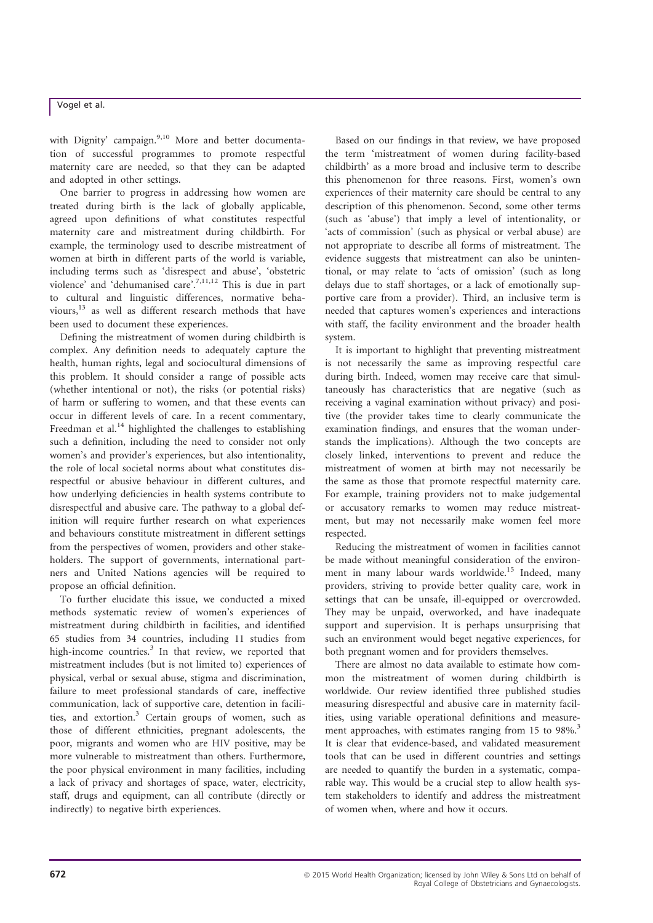# Vogel et al.

with Dignity' campaign.<sup>9,10</sup> More and better documentation of successful programmes to promote respectful maternity care are needed, so that they can be adapted and adopted in other settings.

One barrier to progress in addressing how women are treated during birth is the lack of globally applicable, agreed upon definitions of what constitutes respectful maternity care and mistreatment during childbirth. For example, the terminology used to describe mistreatment of women at birth in different parts of the world is variable, including terms such as 'disrespect and abuse', 'obstetric violence' and 'dehumanised care'.7,11,12 This is due in part to cultural and linguistic differences, normative behaviours, <sup>13</sup> as well as different research methods that have been used to document these experiences.

Defining the mistreatment of women during childbirth is complex. Any definition needs to adequately capture the health, human rights, legal and sociocultural dimensions of this problem. It should consider a range of possible acts (whether intentional or not), the risks (or potential risks) of harm or suffering to women, and that these events can occur in different levels of care. In a recent commentary, Freedman et al.<sup>14</sup> highlighted the challenges to establishing such a definition, including the need to consider not only women's and provider's experiences, but also intentionality, the role of local societal norms about what constitutes disrespectful or abusive behaviour in different cultures, and how underlying deficiencies in health systems contribute to disrespectful and abusive care. The pathway to a global definition will require further research on what experiences and behaviours constitute mistreatment in different settings from the perspectives of women, providers and other stakeholders. The support of governments, international partners and United Nations agencies will be required to propose an official definition.

To further elucidate this issue, we conducted a mixed methods systematic review of women's experiences of mistreatment during childbirth in facilities, and identified 65 studies from 34 countries, including 11 studies from high-income countries.<sup>3</sup> In that review, we reported that mistreatment includes (but is not limited to) experiences of physical, verbal or sexual abuse, stigma and discrimination, failure to meet professional standards of care, ineffective communication, lack of supportive care, detention in facilities, and extortion.<sup>3</sup> Certain groups of women, such as those of different ethnicities, pregnant adolescents, the poor, migrants and women who are HIV positive, may be more vulnerable to mistreatment than others. Furthermore, the poor physical environment in many facilities, including a lack of privacy and shortages of space, water, electricity, staff, drugs and equipment, can all contribute (directly or indirectly) to negative birth experiences.

Based on our findings in that review, we have proposed the term 'mistreatment of women during facility-based childbirth' as a more broad and inclusive term to describe this phenomenon for three reasons. First, women's own experiences of their maternity care should be central to any description of this phenomenon. Second, some other terms (such as 'abuse') that imply a level of intentionality, or 'acts of commission' (such as physical or verbal abuse) are not appropriate to describe all forms of mistreatment. The evidence suggests that mistreatment can also be unintentional, or may relate to 'acts of omission' (such as long delays due to staff shortages, or a lack of emotionally supportive care from a provider). Third, an inclusive term is needed that captures women's experiences and interactions with staff, the facility environment and the broader health system.

It is important to highlight that preventing mistreatment is not necessarily the same as improving respectful care during birth. Indeed, women may receive care that simultaneously has characteristics that are negative (such as receiving a vaginal examination without privacy) and positive (the provider takes time to clearly communicate the examination findings, and ensures that the woman understands the implications). Although the two concepts are closely linked, interventions to prevent and reduce the mistreatment of women at birth may not necessarily be the same as those that promote respectful maternity care. For example, training providers not to make judgemental or accusatory remarks to women may reduce mistreatment, but may not necessarily make women feel more respected.

Reducing the mistreatment of women in facilities cannot be made without meaningful consideration of the environment in many labour wards worldwide.<sup>15</sup> Indeed, many providers, striving to provide better quality care, work in settings that can be unsafe, ill-equipped or overcrowded. They may be unpaid, overworked, and have inadequate support and supervision. It is perhaps unsurprising that such an environment would beget negative experiences, for both pregnant women and for providers themselves.

There are almost no data available to estimate how common the mistreatment of women during childbirth is worldwide. Our review identified three published studies measuring disrespectful and abusive care in maternity facilities, using variable operational definitions and measurement approaches, with estimates ranging from 15 to 98%.<sup>3</sup> It is clear that evidence-based, and validated measurement tools that can be used in different countries and settings are needed to quantify the burden in a systematic, comparable way. This would be a crucial step to allow health system stakeholders to identify and address the mistreatment of women when, where and how it occurs.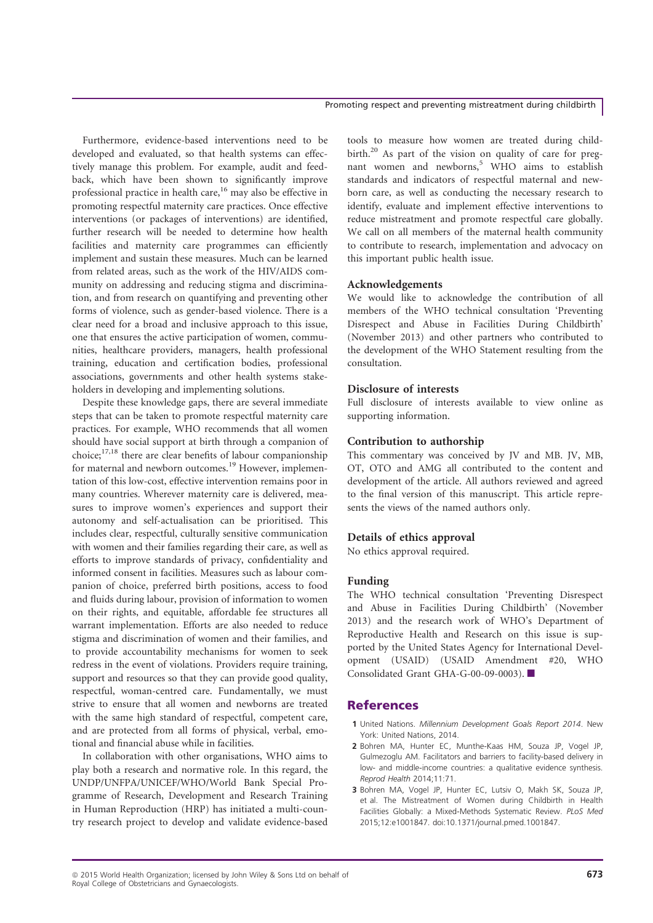Promoting respect and preventing mistreatment during childbirth

Furthermore, evidence-based interventions need to be developed and evaluated, so that health systems can effectively manage this problem. For example, audit and feedback, which have been shown to significantly improve professional practice in health care,<sup>16</sup> may also be effective in promoting respectful maternity care practices. Once effective interventions (or packages of interventions) are identified, further research will be needed to determine how health facilities and maternity care programmes can efficiently implement and sustain these measures. Much can be learned from related areas, such as the work of the HIV/AIDS community on addressing and reducing stigma and discrimination, and from research on quantifying and preventing other forms of violence, such as gender-based violence. There is a clear need for a broad and inclusive approach to this issue, one that ensures the active participation of women, communities, healthcare providers, managers, health professional training, education and certification bodies, professional associations, governments and other health systems stakeholders in developing and implementing solutions.

Despite these knowledge gaps, there are several immediate steps that can be taken to promote respectful maternity care practices. For example, WHO recommends that all women should have social support at birth through a companion of choice; $^{17,18}$  there are clear benefits of labour companionship for maternal and newborn outcomes.<sup>19</sup> However, implementation of this low-cost, effective intervention remains poor in many countries. Wherever maternity care is delivered, measures to improve women's experiences and support their autonomy and self-actualisation can be prioritised. This includes clear, respectful, culturally sensitive communication with women and their families regarding their care, as well as efforts to improve standards of privacy, confidentiality and informed consent in facilities. Measures such as labour companion of choice, preferred birth positions, access to food and fluids during labour, provision of information to women on their rights, and equitable, affordable fee structures all warrant implementation. Efforts are also needed to reduce stigma and discrimination of women and their families, and to provide accountability mechanisms for women to seek redress in the event of violations. Providers require training, support and resources so that they can provide good quality, respectful, woman-centred care. Fundamentally, we must strive to ensure that all women and newborns are treated with the same high standard of respectful, competent care, and are protected from all forms of physical, verbal, emotional and financial abuse while in facilities.

In collaboration with other organisations, WHO aims to play both a research and normative role. In this regard, the UNDP/UNFPA/UNICEF/WHO/World Bank Special Programme of Research, Development and Research Training in Human Reproduction (HRP) has initiated a multi-country research project to develop and validate evidence-based

tools to measure how women are treated during childbirth.<sup>20</sup> As part of the vision on quality of care for pregnant women and newborns,<sup>5</sup> WHO aims to establish standards and indicators of respectful maternal and newborn care, as well as conducting the necessary research to identify, evaluate and implement effective interventions to reduce mistreatment and promote respectful care globally. We call on all members of the maternal health community to contribute to research, implementation and advocacy on this important public health issue.

#### Acknowledgements

We would like to acknowledge the contribution of all members of the WHO technical consultation 'Preventing Disrespect and Abuse in Facilities During Childbirth' (November 2013) and other partners who contributed to the development of the WHO Statement resulting from the consultation.

## Disclosure of interests

Full disclosure of interests available to view online as supporting information.

### Contribution to authorship

This commentary was conceived by JV and MB. JV, MB, OT, OTO and AMG all contributed to the content and development of the article. All authors reviewed and agreed to the final version of this manuscript. This article represents the views of the named authors only.

#### Details of ethics approval

No ethics approval required.

#### Funding

The WHO technical consultation 'Preventing Disrespect and Abuse in Facilities During Childbirth' (November 2013) and the research work of WHO's Department of Reproductive Health and Research on this issue is supported by the United States Agency for International Development (USAID) (USAID Amendment #20, WHO Consolidated Grant GHA-G-00-09-0003).

# References

- 1 United Nations. Millennium Development Goals Report 2014. New York: United Nations, 2014.
- 2 Bohren MA, Hunter EC, Munthe-Kaas HM, Souza JP, Vogel JP, Gulmezoglu AM. Facilitators and barriers to facility-based delivery in low- and middle-income countries: a qualitative evidence synthesis. Reprod Health 2014;11:71.
- 3 Bohren MA, Vogel JP, Hunter EC, Lutsiv O, Makh SK, Souza JP, et al. The Mistreatment of Women during Childbirth in Health Facilities Globally: a Mixed-Methods Systematic Review. PLoS Med 2015;12:e1001847. doi:10.1371/journal.pmed.1001847.